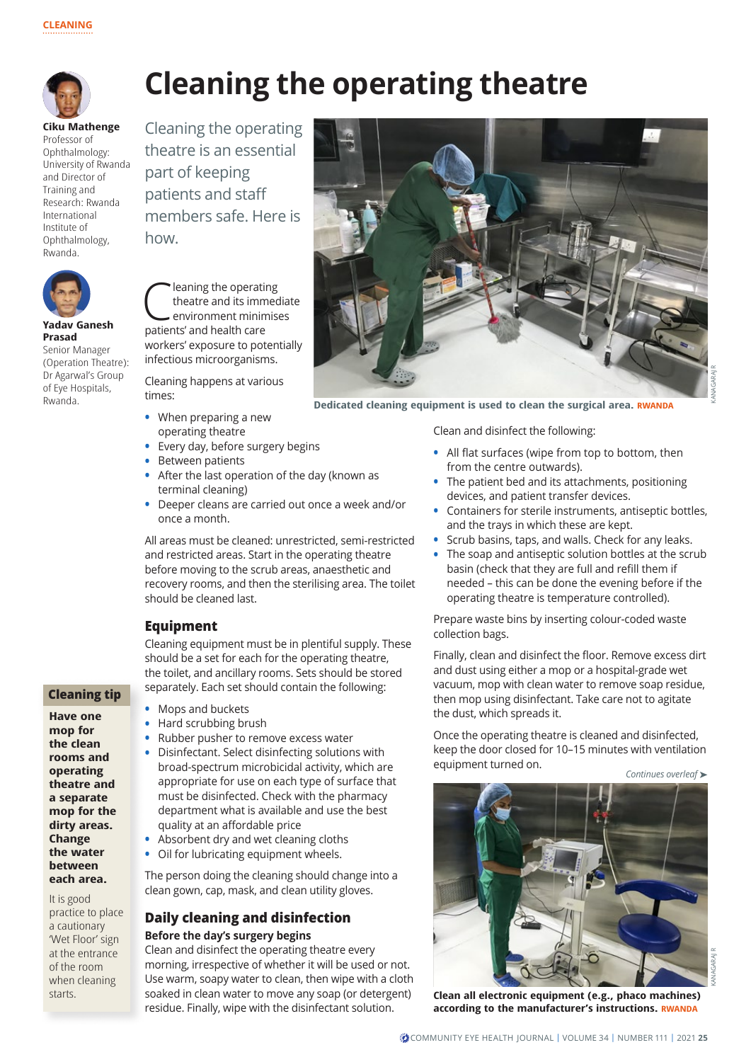

# **Cleaning the operating theatre**

**Ciku Mathenge** Professor of Ophthalmology: University of Rwanda and Director of Training and Research: Rwanda International Institute of Ophthalmology, Rwanda.



**Yadav Ganesh Prasad**

Senior Manager (Operation Theatre): Dr Agarwal's Group of Eye Hospitals, Rwanda.

**C** leaning the operating<br>theatre and its immed<br>environment minimise theatre and its immediate environment minimises patients' and health care workers' exposure to potentially infectious microorganisms.

Cleaning the operating theatre is an essential

members safe. Here is

part of keeping patients and staff

how.

Cleaning happens at various times:

- **•** When preparing a new operating theatre
- **•** Every day, before surgery begins
- **•** Between patients
- **•** After the last operation of the day (known as terminal cleaning)
- **•** Deeper cleans are carried out once a week and/or once a month.

All areas must be cleaned: unrestricted, semi-restricted and restricted areas. Start in the operating theatre before moving to the scrub areas, anaesthetic and recovery rooms, and then the sterilising area. The toilet should be cleaned last.

## **Equipment**

Cleaning equipment must be in plentiful supply. These should be a set for each for the operating theatre, the toilet, and ancillary rooms. Sets should be stored separately. Each set should contain the following:

**Cleaning tip**

**Have one mop for the clean rooms and operating theatre and a separate mop for the dirty areas. Change the water between each area.**

It is good practice to place a cautionary 'Wet Floor' sign at the entrance of the room when cleaning starts.



- **•** Hard scrubbing brush
- **•** Rubber pusher to remove excess water
- **•** Disinfectant. Select disinfecting solutions with broad-spectrum microbicidal activity, which are appropriate for use on each type of surface that must be disinfected. Check with the pharmacy department what is available and use the best quality at an affordable price
- **•** Absorbent dry and wet cleaning cloths
- **•** Oil for lubricating equipment wheels.

The person doing the cleaning should change into a clean gown, cap, mask, and clean utility gloves.

## **Daily cleaning and disinfection Before the day's surgery begins**

Clean and disinfect the operating theatre every morning, irrespective of whether it will be used or not. Use warm, soapy water to clean, then wipe with a cloth soaked in clean water to move any soap (or detergent) residue. Finally, wipe with the disinfectant solution.



**Dedicated cleaning equipment is used to clean the surgical area. RWANDA**

Clean and disinfect the following:

- **•** All flat surfaces (wipe from top to bottom, then from the centre outwards).
- **•** The patient bed and its attachments, positioning devices, and patient transfer devices.
- **•** Containers for sterile instruments, antiseptic bottles, and the trays in which these are kept.
- **•** Scrub basins, taps, and walls. Check for any leaks.
- **•** The soap and antiseptic solution bottles at the scrub basin (check that they are full and refill them if needed – this can be done the evening before if the operating theatre is temperature controlled).

Prepare waste bins by inserting colour-coded waste collection bags.

Finally, clean and disinfect the floor. Remove excess dirt and dust using either a mop or a hospital-grade wet vacuum, mop with clean water to remove soap residue, then mop using disinfectant. Take care not to agitate the dust, which spreads it.

Once the operating theatre is cleaned and disinfected, keep the door closed for 10–15 minutes with ventilation equipment turned on.

*Continues overleaf* ➤

**Clean all electronic equipment (e.g., phaco machines) according to the manufacturer's instructions. RWANDA**